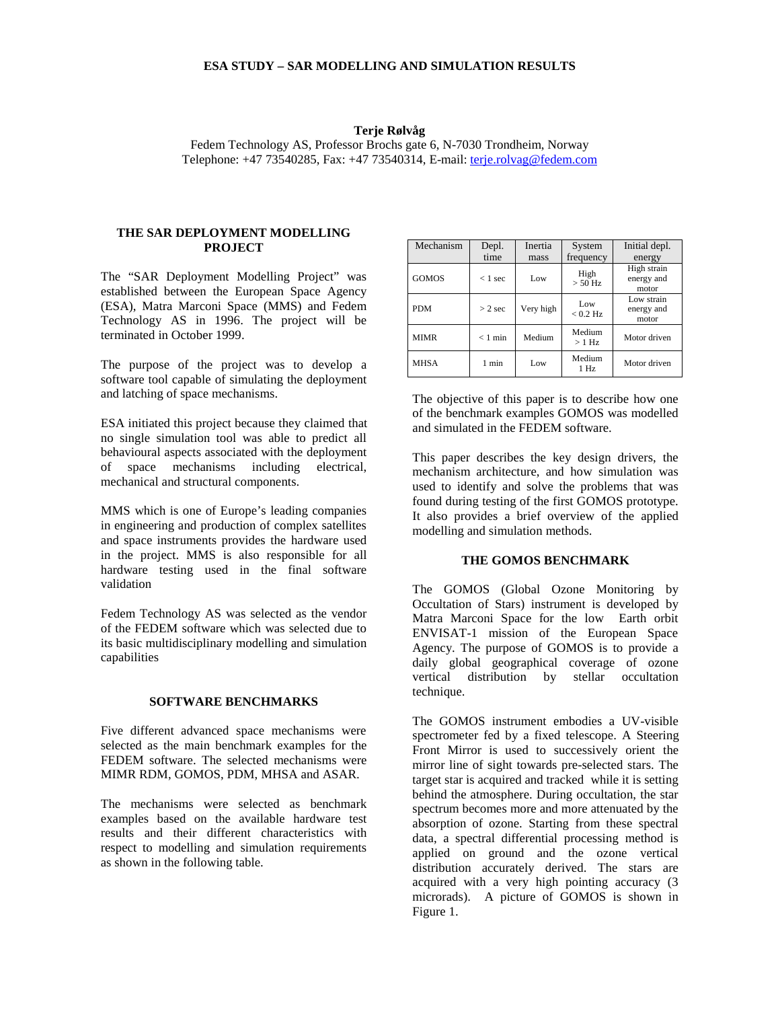## **ESA STUDY – SAR MODELLING AND SIMULATION RESULTS**

#### **Terje Rølvåg**

Fedem Technology AS, Professor Brochs gate 6, N-7030 Trondheim, Norway Telephone: +47 73540285, Fax: +47 73540314, E-mail: terje.rolvag@fedem.com

#### **THE SAR DEPLOYMENT MODELLING PROJECT**

The "SAR Deployment Modelling Project" was established between the European Space Agency (ESA), Matra Marconi Space (MMS) and Fedem Technology AS in 1996. The project will be terminated in October 1999.

The purpose of the project was to develop a software tool capable of simulating the deployment and latching of space mechanisms.

ESA initiated this project because they claimed that no single simulation tool was able to predict all behavioural aspects associated with the deployment of space mechanisms including electrical, mechanical and structural components.

MMS which is one of Europe's leading companies in engineering and production of complex satellites and space instruments provides the hardware used in the project. MMS is also responsible for all hardware testing used in the final software validation

Fedem Technology AS was selected as the vendor of the FEDEM software which was selected due to its basic multidisciplinary modelling and simulation capabilities

### **SOFTWARE BENCHMARKS**

Five different advanced space mechanisms were selected as the main benchmark examples for the FEDEM software. The selected mechanisms were MIMR RDM, GOMOS, PDM, MHSA and ASAR.

The mechanisms were selected as benchmark examples based on the available hardware test results and their different characteristics with respect to modelling and simulation requirements as shown in the following table.

| Mechanism    | Depl.     | Inertia   | System            | Initial depl.                      |
|--------------|-----------|-----------|-------------------|------------------------------------|
|              | time      | mass      | frequency         | energy                             |
| <b>GOMOS</b> | $< 1$ sec | Low       | High<br>$> 50$ Hz | High strain<br>energy and<br>motor |
| <b>PDM</b>   | $> 2$ sec | Very high | Low<br>$< 0.2$ Hz | Low strain<br>energy and<br>motor  |
| <b>MIMR</b>  | $< 1$ min | Medium    | Medium<br>$>1$ Hz | Motor driven                       |
| <b>MHSA</b>  | 1 min     | Low       | Medium<br>$1$ Hz  | Motor driven                       |

The objective of this paper is to describe how one of the benchmark examples GOMOS was modelled and simulated in the FEDEM software.

This paper describes the key design drivers, the mechanism architecture, and how simulation was used to identify and solve the problems that was found during testing of the first GOMOS prototype. It also provides a brief overview of the applied modelling and simulation methods.

### **THE GOMOS BENCHMARK**

The GOMOS (Global Ozone Monitoring by Occultation of Stars) instrument is developed by Matra Marconi Space for the low Earth orbit ENVISAT-1 mission of the European Space Agency. The purpose of GOMOS is to provide a daily global geographical coverage of ozone vertical distribution by stellar occultation technique.

The GOMOS instrument embodies a UV-visible spectrometer fed by a fixed telescope. A Steering Front Mirror is used to successively orient the mirror line of sight towards pre-selected stars. The target star is acquired and tracked while it is setting behind the atmosphere. During occultation, the star spectrum becomes more and more attenuated by the absorption of ozone. Starting from these spectral data, a spectral differential processing method is applied on ground and the ozone vertical distribution accurately derived. The stars are acquired with a very high pointing accuracy (3 microrads). A picture of GOMOS is shown in Figure 1.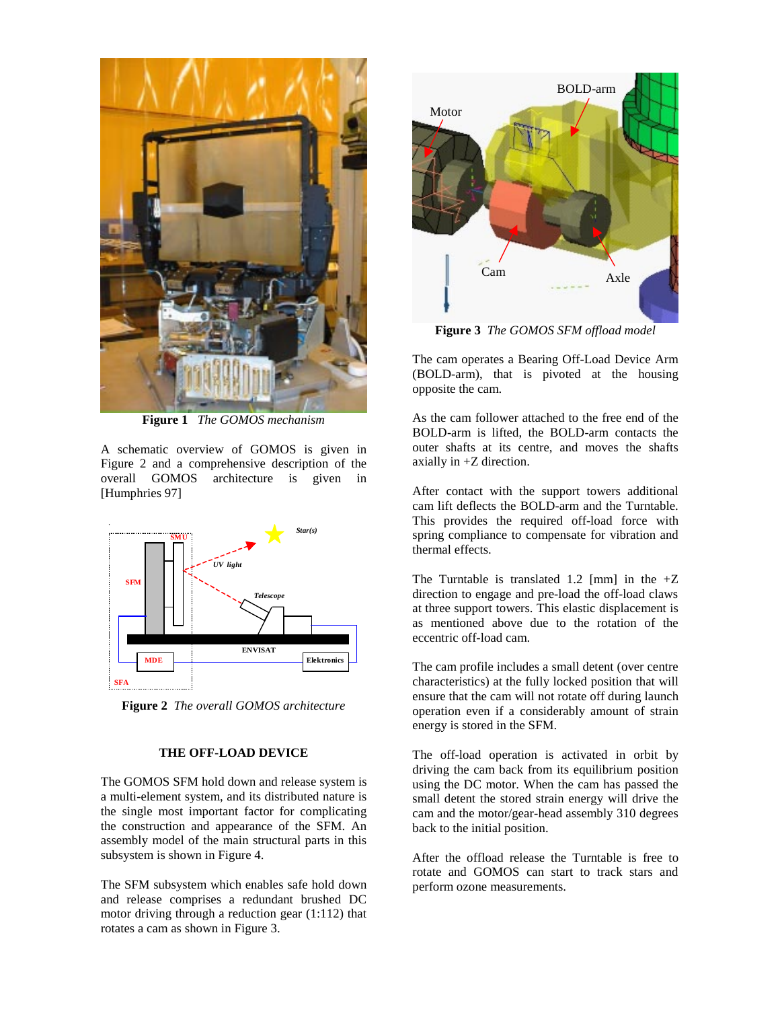

**Figure 1** *The GOMOS mechanism*

A schematic overview of GOMOS is given in Figure 2 and a comprehensive description of the overall GOMOS architecture is given in [Humphries 97]



**Figure 2** *The overall GOMOS architecture*

#### **THE OFF-LOAD DEVICE**

The GOMOS SFM hold down and release system is a multi-element system, and its distributed nature is the single most important factor for complicating the construction and appearance of the SFM. An assembly model of the main structural parts in this subsystem is shown in Figure 4.

The SFM subsystem which enables safe hold down and release comprises a redundant brushed DC motor driving through a reduction gear (1:112) that rotates a cam as shown in Figure 3.



**Figure 3** *The GOMOS SFM offload model*

The cam operates a Bearing Off-Load Device Arm (BOLD-arm), that is pivoted at the housing opposite the cam.

As the cam follower attached to the free end of the BOLD-arm is lifted, the BOLD-arm contacts the outer shafts at its centre, and moves the shafts axially in +Z direction.

After contact with the support towers additional cam lift deflects the BOLD-arm and the Turntable. This provides the required off-load force with spring compliance to compensate for vibration and thermal effects.

The Turntable is translated 1.2 [mm] in the  $+Z$ direction to engage and pre-load the off-load claws at three support towers. This elastic displacement is as mentioned above due to the rotation of the eccentric off-load cam.

The cam profile includes a small detent (over centre characteristics) at the fully locked position that will ensure that the cam will not rotate off during launch operation even if a considerably amount of strain energy is stored in the SFM.

The off-load operation is activated in orbit by driving the cam back from its equilibrium position using the DC motor. When the cam has passed the small detent the stored strain energy will drive the cam and the motor/gear-head assembly 310 degrees back to the initial position.

After the offload release the Turntable is free to rotate and GOMOS can start to track stars and perform ozone measurements.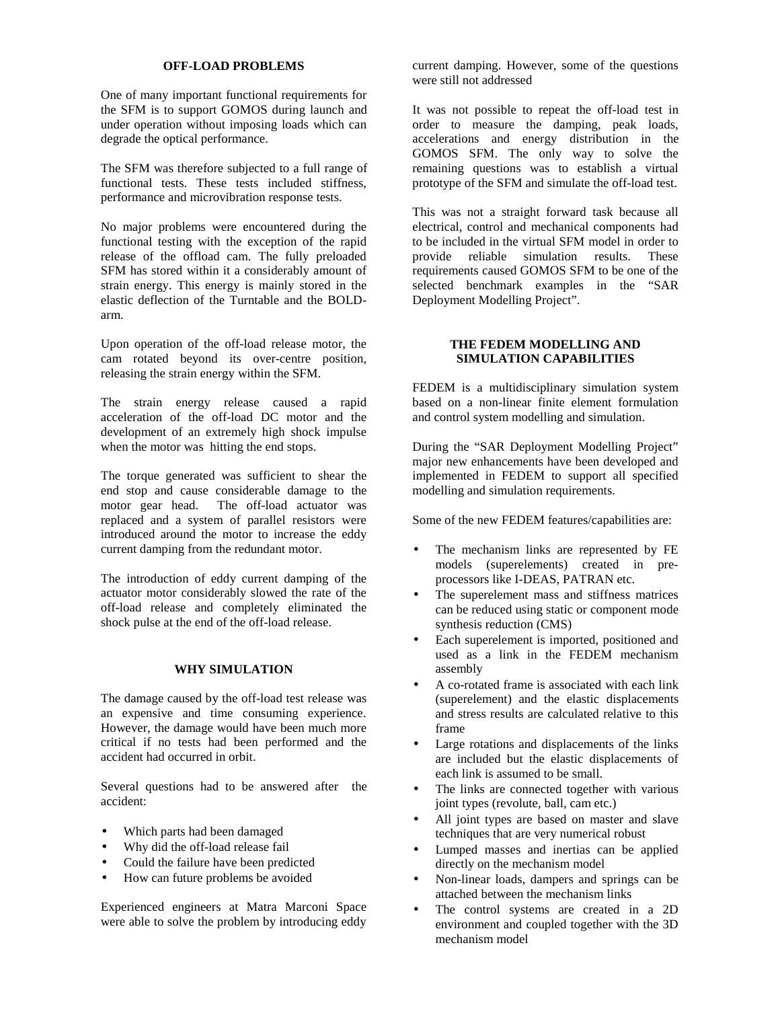# **OFF-LOAD PROBLEMS**

One of many important functional requirements for the SFM is to support GOMOS during launch and under operation without imposing loads which can degrade the optical performance.

The SFM was therefore subjected to a full range of functional tests. These tests included stiffness, performance and microvibration response tests.

No major problems were encountered during the functional testing with the exception of the rapid release of the offload cam. The fully preloaded SFM has stored within it a considerably amount of strain energy. This energy is mainly stored in the elastic deflection of the Turntable and the BOLDarm.

Upon operation of the off-load release motor, the cam rotated beyond its over-centre position, releasing the strain energy within the SFM.

The strain energy release caused a rapid acceleration of the off-load DC motor and the development of an extremely high shock impulse when the motor was hitting the end stops.

The torque generated was sufficient to shear the end stop and cause considerable damage to the motor gear head. The off-load actuator was replaced and a system of parallel resistors were introduced around the motor to increase the eddy current damping from the redundant motor.

The introduction of eddy current damping of the actuator motor considerably slowed the rate of the off-load release and completely eliminated the shock pulse at the end of the off-load release.

#### **WHY SIMULATION**

The damage caused by the off-load test release was an expensive and time consuming experience. However, the damage would have been much more critical if no tests had been performed and the accident had occurred in orbit.

Several questions had to be answered after the accident:

- Which parts had been damaged
- Why did the off-load release fail
- Could the failure have been predicted
- How can future problems be avoided

Experienced engineers at Matra Marconi Space were able to solve the problem by introducing eddy current damping. However, some of the questions were still not addressed

It was not possible to repeat the off-load test in order to measure the damping, peak loads, accelerations and energy distribution in the GOMOS SFM. The only way to solve the remaining questions was to establish a virtual prototype of the SFM and simulate the off-load test.

This was not a straight forward task because all electrical, control and mechanical components had to be included in the virtual SFM model in order to provide reliable simulation results. These requirements caused GOMOS SFM to be one of the selected benchmark examples in the "SAR Deployment Modelling Project".

## **THE FEDEM MODELLING AND SIMULATION CAPABILITIES**

FEDEM is a multidisciplinary simulation system based on a non-linear finite element formulation and control system modelling and simulation.

During the "SAR Deployment Modelling Project" major new enhancements have been developed and implemented in FEDEM to support all specified modelling and simulation requirements.

Some of the new FEDEM features/capabilities are:

- The mechanism links are represented by FE models (superelements) created in preprocessors like I-DEAS, PATRAN etc.
- The superelement mass and stiffness matrices can be reduced using static or component mode synthesis reduction (CMS)
- Each superelement is imported, positioned and used as a link in the FEDEM mechanism assembly
- A co-rotated frame is associated with each link (superelement) and the elastic displacements and stress results are calculated relative to this frame
- Large rotations and displacements of the links are included but the elastic displacements of each link is assumed to be small.
- The links are connected together with various joint types (revolute, ball, cam etc.)
- All joint types are based on master and slave techniques that are very numerical robust
- Lumped masses and inertias can be applied directly on the mechanism model
- Non-linear loads, dampers and springs can be attached between the mechanism links
- The control systems are created in a 2D environment and coupled together with the 3D mechanism model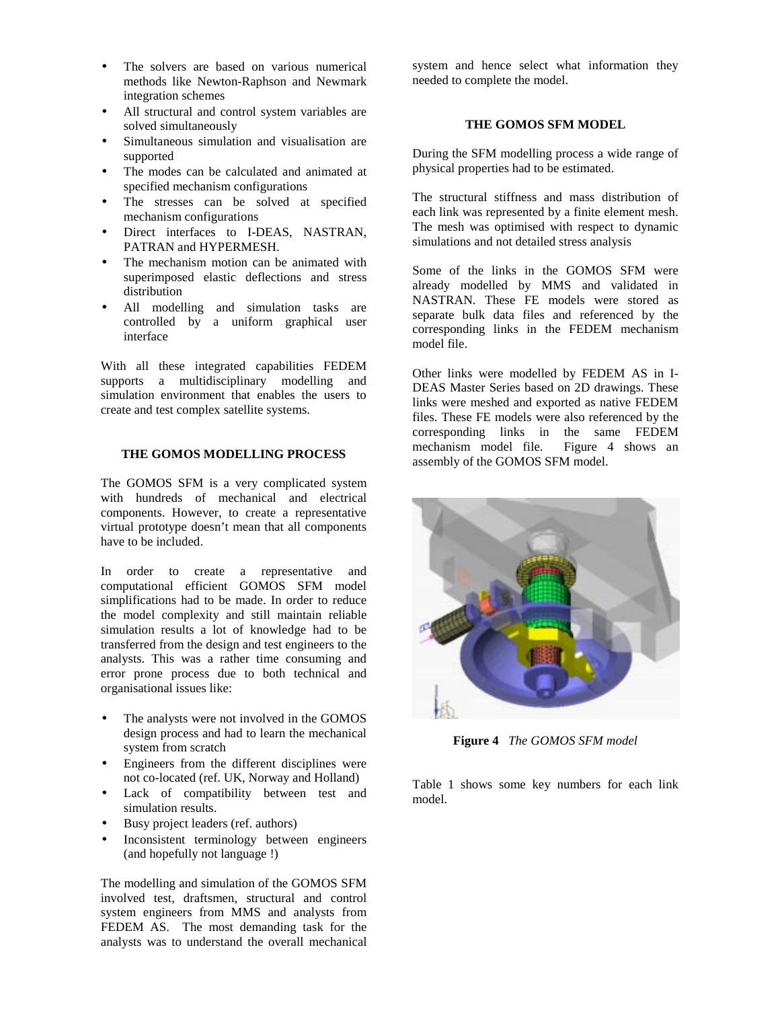- The solvers are based on various numerical methods like Newton-Raphson and Newmark integration schemes
- All structural and control system variables are solved simultaneously
- Simultaneous simulation and visualisation are supported
- The modes can be calculated and animated at specified mechanism configurations
- The stresses can be solved at specified mechanism configurations
- Direct interfaces to I-DEAS, NASTRAN, PATRAN and HYPERMESH.
- The mechanism motion can be animated with superimposed elastic deflections and stress distribution
- All modelling and simulation tasks are controlled by a uniform graphical user interface

With all these integrated capabilities FEDEM supports a multidisciplinary modelling and simulation environment that enables the users to create and test complex satellite systems.

# **THE GOMOS MODELLING PROCESS**

The GOMOS SFM is a very complicated system with hundreds of mechanical and electrical components. However, to create a representative virtual prototype doesn't mean that all components have to be included.

In order to create a representative and computational efficient GOMOS SFM model simplifications had to be made. In order to reduce the model complexity and still maintain reliable simulation results a lot of knowledge had to be transferred from the design and test engineers to the analysts. This was a rather time consuming and error prone process due to both technical and organisational issues like:

- The analysts were not involved in the GOMOS design process and had to learn the mechanical system from scratch
- Engineers from the different disciplines were not co-located (ref. UK, Norway and Holland)
- Lack of compatibility between test and simulation results.
- Busy project leaders (ref. authors)
- Inconsistent terminology between engineers (and hopefully not language !)

The modelling and simulation of the GOMOS SFM involved test, draftsmen, structural and control system engineers from MMS and analysts from FEDEM AS. The most demanding task for the analysts was to understand the overall mechanical

system and hence select what information they needed to complete the model.

# **THE GOMOS SFM MODEL**

During the SFM modelling process a wide range of physical properties had to be estimated.

The structural stiffness and mass distribution of each link was represented by a finite element mesh. The mesh was optimised with respect to dynamic simulations and not detailed stress analysis

Some of the links in the GOMOS SFM were already modelled by MMS and validated in NASTRAN. These FE models were stored as separate bulk data files and referenced by the corresponding links in the FEDEM mechanism model file.

Other links were modelled by FEDEM AS in I-DEAS Master Series based on 2D drawings. These links were meshed and exported as native FEDEM files. These FE models were also referenced by the corresponding links in the same FEDEM mechanism model file. Figure 4 shows an assembly of the GOMOS SFM model.



**Figure 4** *The GOMOS SFM model*

Table 1 shows some key numbers for each link model.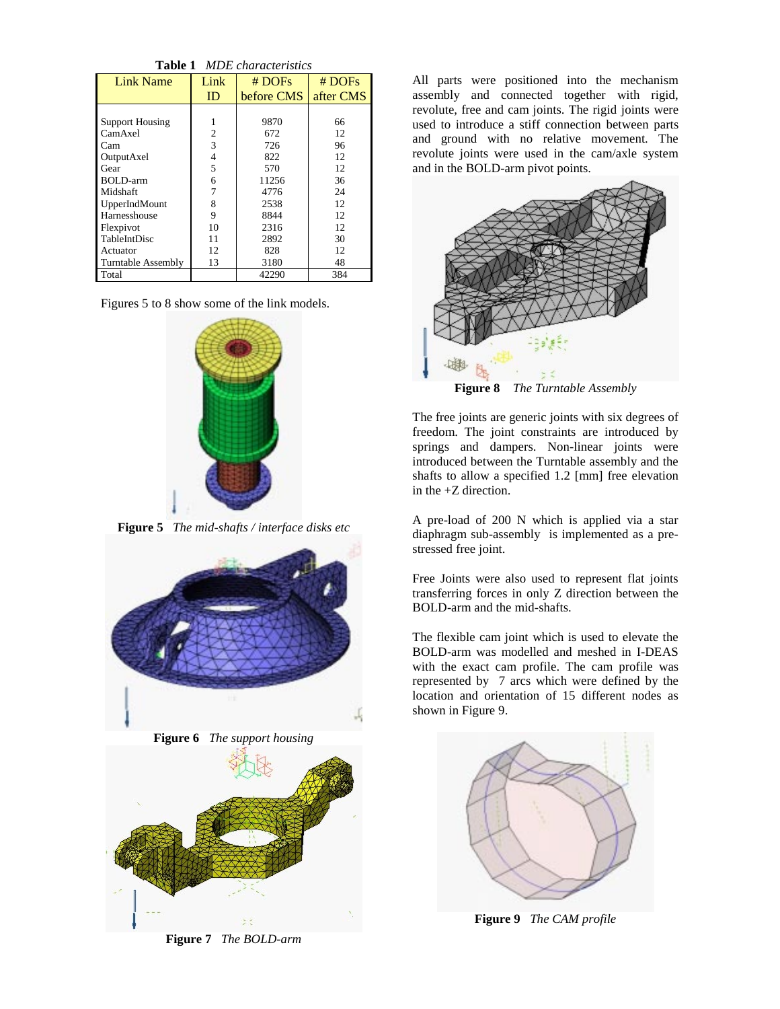| <b>Table 1</b> MDE characteristics |      |            |           |  |  |
|------------------------------------|------|------------|-----------|--|--|
| <b>Link Name</b>                   | Link | # DOFs     | # DOFs    |  |  |
|                                    | ID   | before CMS | after CMS |  |  |
|                                    |      |            |           |  |  |
| <b>Support Housing</b>             |      | 9870       | 66        |  |  |
| CamAxel                            | 2    | 672        | 12        |  |  |
| Cam                                | 3    | 726        | 96        |  |  |
| OutputAxel                         | 4    | 822        | 12        |  |  |
| Gear                               | 5    | 570        | 12        |  |  |
| BOLD-arm                           | 6    | 11256      | 36        |  |  |
| Midshaft                           |      | 4776       | 24        |  |  |
| UpperIndMount                      | 8    | 2538       | 12.       |  |  |
| Harnesshouse                       | 9    | 8844       | 12.       |  |  |
| Flexpivot                          | 10   | 2316       | 12        |  |  |
| <b>TableIntDisc</b>                | 11   | 2892       | 30        |  |  |
| Actuator                           | 12.  | 828        | 12.       |  |  |
| <b>Turntable Assembly</b>          | 13   | 3180       | 48        |  |  |
| Total                              |      | 42290      | 384       |  |  |

Figures 5 to 8 show some of the link models.



**Figure 5** *The mid-shafts / interface disks etc*







**Figure 7** *The BOLD-arm*

All parts were positioned into the mechanism assembly and connected together with rigid, revolute, free and cam joints. The rigid joints were used to introduce a stiff connection between parts and ground with no relative movement. The revolute joints were used in the cam/axle system and in the BOLD-arm pivot points.



**Figure 8** *The Turntable Assembly*

The free joints are generic joints with six degrees of freedom. The joint constraints are introduced by springs and dampers. Non-linear joints were introduced between the Turntable assembly and the shafts to allow a specified 1.2 [mm] free elevation in the +Z direction.

A pre-load of 200 N which is applied via a star diaphragm sub-assembly is implemented as a prestressed free joint.

Free Joints were also used to represent flat joints transferring forces in only Z direction between the BOLD-arm and the mid-shafts.

The flexible cam joint which is used to elevate the BOLD-arm was modelled and meshed in I-DEAS with the exact cam profile. The cam profile was represented by 7 arcs which were defined by the location and orientation of 15 different nodes as shown in Figure 9.



**Figure 9** *The CAM profile*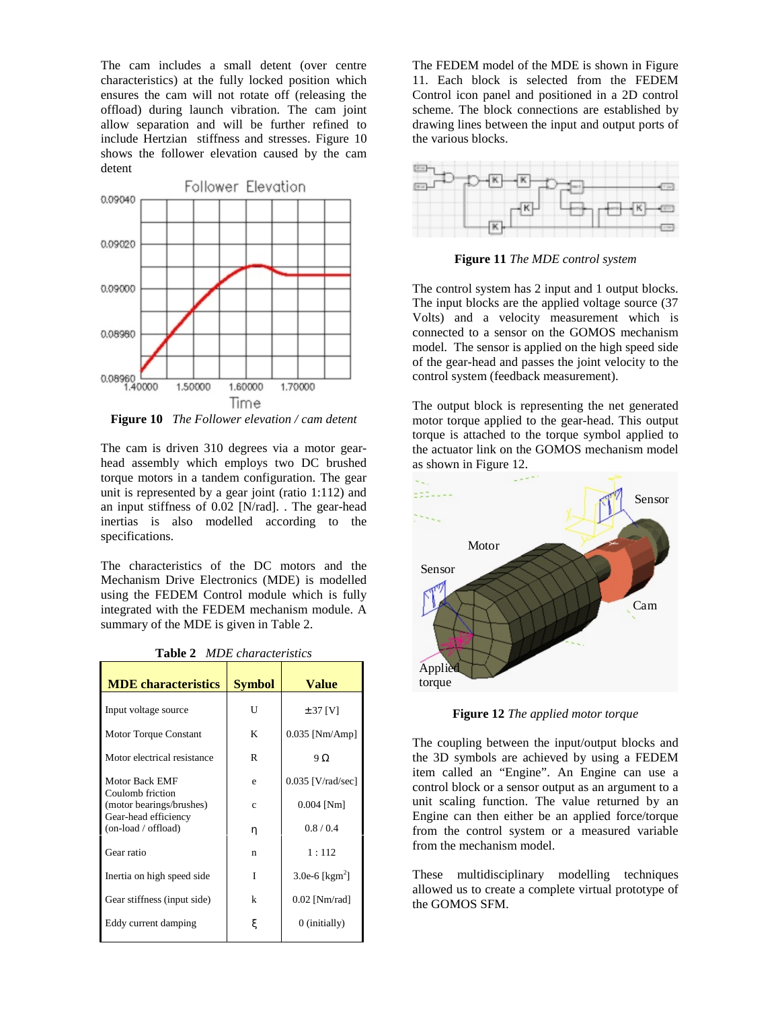The cam includes a small detent (over centre characteristics) at the fully locked position which ensures the cam will not rotate off (releasing the offload) during launch vibration. The cam joint allow separation and will be further refined to include Hertzian stiffness and stresses. Figure 10 shows the follower elevation caused by the cam detent



**Figure 10** *The Follower elevation / cam detent*

The cam is driven 310 degrees via a motor gearhead assembly which employs two DC brushed torque motors in a tandem configuration. The gear unit is represented by a gear joint (ratio 1:112) and an input stiffness of 0.02 [N/rad]. . The gear-head inertias is also modelled according to the specifications.

The characteristics of the DC motors and the Mechanism Drive Electronics (MDE) is modelled using the FEDEM Control module which is fully integrated with the FEDEM mechanism module. A summary of the MDE is given in Table 2.

| <b>Table 2</b> MDE characteristics |  |
|------------------------------------|--|
|------------------------------------|--|

| <b>MDE</b> characteristics                  | <b>Symbol</b> | <b>Value</b>              |
|---------------------------------------------|---------------|---------------------------|
| Input voltage source                        | U             | $± 37$ [V]                |
| <b>Motor Torque Constant</b>                | K             | $0.035$ [Nm/Amp]          |
| Motor electrical resistance                 | R             | $9\Omega$                 |
| Motor Back EMF<br>Coulomb friction          | e             | $0.035$ [V/rad/sec]       |
| (motor bearings/brushes)                    | $\mathbf{c}$  | $0.004$ [Nm]              |
| Gear-head efficiency<br>(on-load / offload) | η             | 0.8/0.4                   |
| Gear ratio                                  | n             | 1:112                     |
| Inertia on high speed side                  | T             | 3.0e-6 [ $\text{kgm}^2$ ] |
| Gear stiffness (input side)                 | k             | $0.02$ [Nm/rad]           |
| Eddy current damping                        | ξ             | 0 (initially)             |

The FEDEM model of the MDE is shown in Figure 11. Each block is selected from the FEDEM Control icon panel and positioned in a 2D control scheme. The block connections are established by drawing lines between the input and output ports of the various blocks.



**Figure 11** *The MDE control system*

The control system has 2 input and 1 output blocks. The input blocks are the applied voltage source (37 Volts) and a velocity measurement which is connected to a sensor on the GOMOS mechanism model. The sensor is applied on the high speed side of the gear-head and passes the joint velocity to the control system (feedback measurement).

The output block is representing the net generated motor torque applied to the gear-head. This output torque is attached to the torque symbol applied to the actuator link on the GOMOS mechanism model as shown in Figure 12.



**Figure 12** *The applied motor torque*

The coupling between the input/output blocks and the 3D symbols are achieved by using a FEDEM item called an "Engine". An Engine can use a control block or a sensor output as an argument to a unit scaling function. The value returned by an Engine can then either be an applied force/torque from the control system or a measured variable from the mechanism model.

These multidisciplinary modelling techniques allowed us to create a complete virtual prototype of the GOMOS SFM.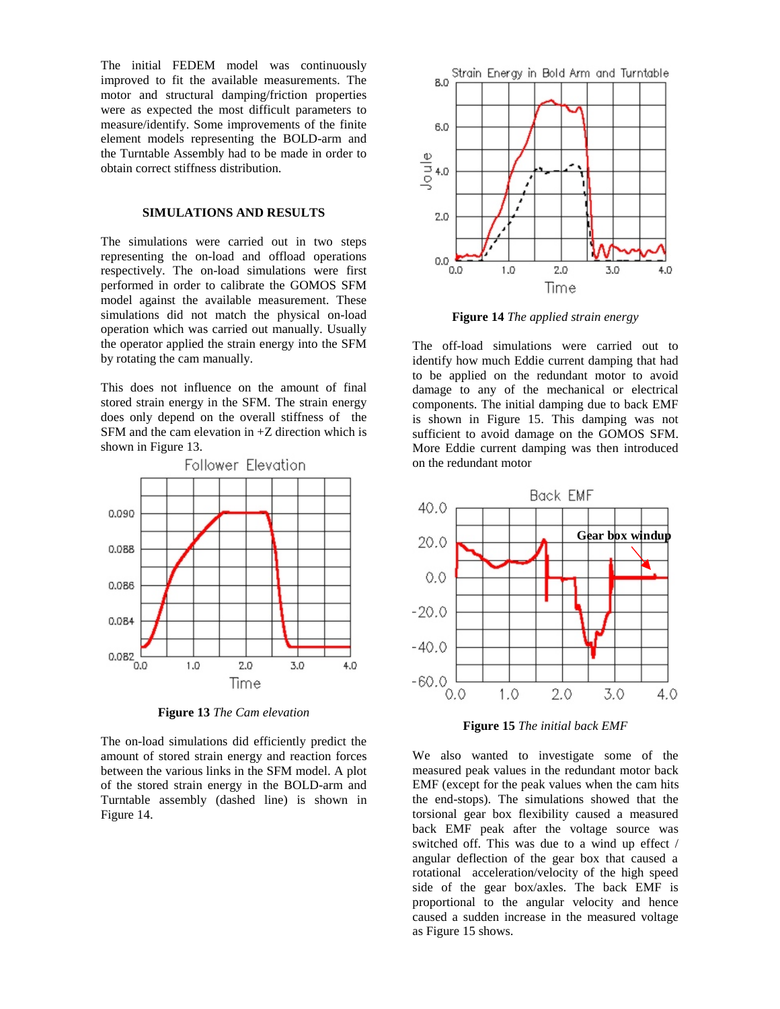The initial FEDEM model was continuously improved to fit the available measurements. The motor and structural damping/friction properties were as expected the most difficult parameters to measure/identify. Some improvements of the finite element models representing the BOLD-arm and the Turntable Assembly had to be made in order to obtain correct stiffness distribution.

#### **SIMULATIONS AND RESULTS**

The simulations were carried out in two steps representing the on-load and offload operations respectively. The on-load simulations were first performed in order to calibrate the GOMOS SFM model against the available measurement. These simulations did not match the physical on-load operation which was carried out manually. Usually the operator applied the strain energy into the SFM by rotating the cam manually.

This does not influence on the amount of final stored strain energy in the SFM. The strain energy does only depend on the overall stiffness of the SFM and the cam elevation in +Z direction which is shown in Figure 13.



**Figure 13** *The Cam elevation*

The on-load simulations did efficiently predict the amount of stored strain energy and reaction forces between the various links in the SFM model. A plot of the stored strain energy in the BOLD-arm and Turntable assembly (dashed line) is shown in Figure 14.



**Figure 14** *The applied strain energy*

The off-load simulations were carried out to identify how much Eddie current damping that had to be applied on the redundant motor to avoid damage to any of the mechanical or electrical components. The initial damping due to back EMF is shown in Figure 15. This damping was not sufficient to avoid damage on the GOMOS SFM. More Eddie current damping was then introduced on the redundant motor



**Figure 15** *The initial back EMF*

We also wanted to investigate some of the measured peak values in the redundant motor back EMF (except for the peak values when the cam hits the end-stops). The simulations showed that the torsional gear box flexibility caused a measured back EMF peak after the voltage source was switched off. This was due to a wind up effect / angular deflection of the gear box that caused a rotational acceleration/velocity of the high speed side of the gear box/axles. The back EMF is proportional to the angular velocity and hence caused a sudden increase in the measured voltage as Figure 15 shows.